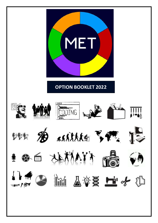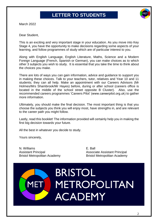# **LETTER TO STUDENTS**



March 2022

Dear Student,

This is an exciting and very important stage in your education. As you move into Key Stage 4, you have the opportunity to make decisions regarding some aspects of your learning, and follow programmes of study which are of particular interest to you.

Along with English Language, English Literature, Maths, Science and a Modern Foreign Language (French, Spanish or German), you can make choices as to which other 3 subjects you wish to study. It is essential that you take the time to think about the choices you make.

There are lots of ways you can gain information, advice and guidance to support you in making these choices. Talk to your teachers, tutor, relatives and Year 10 and 11 students; they can all help. Make an appointment with our Careers Advisors (Mr Holmes/Mrs Shambrook/Mr Hayes) before, during or after school (careers office is located in the middle of the school street opposite B Cluster). Also, use the recommended careers programmes 'Careers Pilot' (www.careerpilot.org.uk) to gather more information.

Ultimately, you should make the final decision. The most important thing is that you choose the subjects you think you will enjoy most, have strengths in, and are relevant to the career path you might follow.

Lastly, read this booklet! The information provided will certainly help you in making the first big decision towards your future.

All the best in whatever you decide to study.

Yours sincerely,

N. Williams E. Ball Assistant Principal Associate Assistant Principal

Bristol Metropolitan Academy Bristol Metropolitan Academy

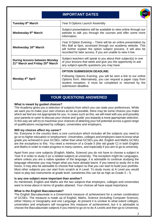# **IMPORTANT DATES**



| Tuesday 8 <sup>th</sup> March                                                                    | Year 9 Options Launch Assembly                                                                                                                                                                                                                                      |  |
|--------------------------------------------------------------------------------------------------|---------------------------------------------------------------------------------------------------------------------------------------------------------------------------------------------------------------------------------------------------------------------|--|
| Wednesday 9th March                                                                              | Subject presentations will be available to view online through our<br>website to talk you through the courses and offer some more<br>information.                                                                                                                   |  |
| Wednesday 16th March                                                                             | Year 9 Option Evening - There will be an online presentation by<br>Mrs Ball at 5pm, accessed through our academy website. This<br>will further explain the option subject process. It will also be<br>recorded for later access, if you are unable to view it live. |  |
| <b>During lessons between Monday</b><br>21 <sup>st</sup> March and Friday 25 <sup>th</sup> March | Subject teachers will speak to you about their subject(s) in one<br>of your lessons that week and give you the opportunity to ask<br>any subject-specific questions you may have.                                                                                   |  |
|                                                                                                  | <b>OPTION SUBMISSION DEADLINE:</b>                                                                                                                                                                                                                                  |  |
| Monday 4 <sup>th</sup> April                                                                     | Following Options Evening, you will be sent a link to our online<br>Options form. Alternatively, you can request a paper copy from<br>student reception. It must be completed or returned by the<br>submission deadline.                                            |  |

# **YOUR QUESTIONS ANSWERED**

#### **What is meant by guided choices?**

The Academy gives you a selection of subjects from which you can state your preferences. While we want you to make your own choices as far as possible, there may be some choices you make which we feel are not appropriate for you. In cases such as this, we will meet with you and possibly your parents or carer to discuss your choice and 'guide' you towards a more appropriate selection. In this way we will try to maximise your chances of attaining your full potential across a good range of qualifications recognised by colleges, universities and employers.

#### **Will my choices affect my career?**

No. Everyone in the country does a core curriculum which includes all the subjects you need to go on to higher education or employment. Universities, colleges and employers want to know what grade you achieved in your GCSEs, rather than what GCSEs you did. English and Maths GCSEs are the exceptions to this. You need a minimum of a Grade 5 (the old grade C) in both English and Maths in order to make progress in many careers, and especially if you aim to go to university.

Apart from your core subjects (English, Maths, Science) you do not have to choose a subject in Year 9 in order to study it (or a related subject) at university. The exception might be Languages, where unless you are a native speaker of the language, it is advisable to continue studying the language otherwise you may forget what you have already learnt. If you intend to study Art in the future, it may also be advisable to choose that subject so that you can start to build your portfolio. Most other subjects you can start from scratch at A Level. To study music at A Level you would have to play two instruments at grade level; sometimes this can be as high as Grade  $3 - 5$ .

#### **Is any one subject more important than another?**

As mentioned, English and Maths are the two subjects that employers, colleges and universities want to know about in terms of grades attained. Your choices all have equal importance.

### **What is the English Baccalaureate?**

The English Baccalaureate is a Government measure of achievement for a certain combination of GCSEs. The measure is made up of English, Maths, Science (including Computer Science), either History or Geography and one Language. At present it is unclear to what extent colleges, universities and employers will recognise this measure of achievement, but it is advisable to choose the Baccalaureate subjects if you intend to go on to do A Levels and then go to University.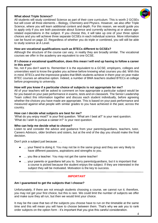### **What about Triple Science?**

All students will study combined Science as part of their core curriculum. This is worth 2 GCSEs but will cover all three elements – Biology, Chemistry and Physics. However, we also offer Triple Science, where you will learn additional content and depth. For this reason, we would guide you to apply only if you are both passionate about Science and currently achieving at or above agerelated expectations in the subject. If you choose this, it will take up one of your three option choices and you will achieve three separate GCSEs in each individual science. More information can be found on page 22. Regardless of whether you do triple or combined, you will still be able to study science at A Level.

#### **How are vocational qualifications such as BTECs different to GCSEs?**

Although the structure of the course can vary, in reality they are broadly similar. The vocational courses we offer in the academy are equivalent to one GCSE.

#### **If I choose a vocational qualification, does this mean I will end up having to follow a career in this area?**

No, not if you don't want to. Remember it is the equivalent to a GCSE; employers, colleges and universities want to know the grades you achieve before knowing what courses you did. With this in mind, BTECs and the impressive grades that BMA students achieve in them year on year make BTEC courses an attractive option. Indeed, a number of BMA teachers studied BTECs at college before progressing to university.

#### **How will you know if a particular choice of subjects is not appropriate for me?**

All of your teachers will be asked to comment on how appropriate a particular subject would be for you based on your past performance in exams, tests and on classwork. The Senior Leadership Team collect this information together and discuss each student individually, before agreeing whether the choices you have made are appropriate. This is based on your past performance and measured against what people with similar grades to you have achieved in the past, across the country.

#### **How can I decide what subjects are best for me?**

'What do you enjoy most?' is your first question. 'What am I best at?' is your next question. 'What do I wish to pursue a career in?' is your next question.

#### **Who can help me decide what to choose?**

Listen to and consider the advice and guidance from your parents/guardians, teachers, tutor, Careers Advisors, older brothers and sisters, but at the end of the day you should make the final decision.

Don't pick a subject just because . . .

- ... your friend is doing it. You may not be in the same group and they are very likely to have different passions, aspirations and strengths to you.
- ... you like a teacher. You may not get the same teacher!
- ... your parents or guardians tell you to. Sorry parents/guardians, but it is important that a course is picked because the student enjoys the subject. If they are interested in the subject they will be motivated. Motivation is the key to success.

#### *IMPORTANT*

#### **Am I guaranteed to get the subjects that I choose?**

Unfortunately, if there are not enough students choosing a course, we cannot run it; therefore, you may not get your first choice, but this is rare. We could limit the number of subjects we offer and make sure they all run, but then we would limit your choice.

It may be the case that two of the subjects you choose have to run on the timetable at the same time and this will mean you will have to choose between them. That's why we ask you to rank order subjects on the option form - it's important that you give this careful consideration.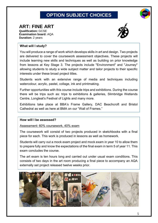# **OPTION SUBJECT CHOICES**



# **ART: FINE ART Qualification:** GCSE

**Examination board:** AQA **Duration:** 2 years



# **What will I study?**

You will produce a range of work which develops skills in art and design. Two projects are delivered to cover the coursework assessment objectives. These projects will include learning new skills and techniques as well as building on prior knowledge from lessons at Key Stage 3. The projects include "Environment" and "Journey" allowing students to study a wide subject matter and tailor projects to their specific interests under these broad project titles.

Students work with an extensive range of media and techniques including watercolour, acrylic, pastel, collage, ink and printmaking.

Further opportunities with this course include trips and exhibitions. During the course there will be trips such as: trips to exhibitions & galleries, Slimbridge Wetlands Centre, Longleat's Festival of Lights and many more.

Exhibitions take place at BBA's Frame Gallery, DAC Beachcroft and Bristol Cathedral as well as here at BMA on our "Wall of Frames."

# **How will I be assessed?**

Assessment: 60% coursework, 40% exam

The coursework will consist of two projects produced in sketchbooks with a final piece for each. This work is produced in lessons as well as homework.

Students will carry out a mock exam project and mock exam in year 10 to allow them to prepare fully and know the expectations of the final exam in term 5 of year 11. This exam concludes the course.

The art exam is ten hours long and carried out under usual exam conditions. This consists of two days in the art room producing a final piece to accompany an AQA externally set project released twelve weeks prior.

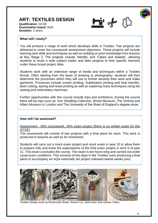# **ART: TEXTILES DESIGN**





### **What will I study?**

You will produce a range of work which develops skills in Textiles. Two projects are delivered to cover the coursework assessment objectives. These projects will include learning new skills and techniques as well as building on prior knowledge from lessons at Key Stage 3. The projects include 'Identity' and 'Cakes and Sweets', allowing students to study a wide subject matter and tailor projects to their specific interests under these broad project titles.

Students work with an extensive range of media and techniques within a Textiles format. Often starting from the basis of drawing or photography, students will then determine the processes which they will use to further develop their work and make garments. Processes include screen printing, Sublimation printing and heat transfer, laser cutting, dyeing and resist printing as well as exploring many techniques using the sewing and embroidery machines.

Further opportunities with this course include trips and exhibitions. During the course there will be trips such as: Ken Stradling Collection, Bristol Museum, The Victoria and Albert Museum in London and The University of the West of England's degree show.

# **How will I be assessed?**

Assessment - 60% coursework, 40% exam project (there is no written exam for this GCSE)

The coursework will consist of two projects with a final piece for each. This work is produced in lessons as well as for homework.

Students will carry out a mock exam project and mock exam in year 10 to allow them to prepare fully and know the expectations of the final exam project in term 5 of year 11. This exam concludes the course. The exam is ten hours long and carried out under usual exam conditions. This consists of two days in the Textiles room producing a final piece to accompany an AQA externally set project released twelve weeks prior.



Textiles Design work by Rosemarie Shaw, Sharon Liu, Awa Kuluc and Justina Taiwo.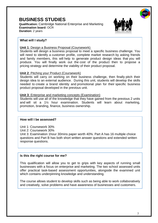# **BUSINESS STUDIES**

**Qualification:** Cambridge National Enterprise and Marketing **Examination board:** OCR **Duration:** 2 years



# **What will I study?**

**Unit 1**: Design a Business Proposal (Coursework)

Students will design a business proposal to meet a specific business challenge. You will need to identify a customer profile, complete market research by asking friends and family members, this will help to generate product design ideas that you will produce. You will finally work out the cost of the product then to propose a pricing strategy and determine the viability of their product proposal.

# **Unit 2**: Pitching your Product (Coursework)

Students will carry on working on their business challenge, then finally pitch their design idea to an external audience. During this unit, students will develop the skills needed to create a brand identity and promotional plan for their specific business product proposal developed in the previous unit.

# **Unit 3**: Enterprise and marketing concepts (Examination)

Students will use all of the knowledge that they have gained from the previous 2 units and will sit a 1½ hour examination. Students will learn about marketing, promotion, branding, finance, business ownership.

# **How will I be assessed?**

Unit 1: Coursework 30% Unit 2: Coursework 30% Unit 3: Examination 1hour 30mins paper worth 40%. Part A has 16 multiple choice questions and Part B has both short written answer questions and extended written response questions.

# **Is this the right course for me?**

This qualification will allow you to get to grips with key aspects of running small businesses with a focus on enterprise and marketing. The two school assessed units offer practical task-based assessment opportunities, alongside the examined unit which contains underpinning knowledge and understanding.

The course allows student to develop skills such as being able to work collaboratively and creatively, solve problems and have awareness of businesses and customers.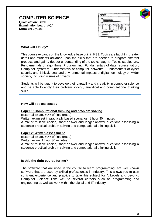# **COMPUTER SCIENCE Qualification:** GCSE

**Examination board:** AQA **Duration:** 2 years





# **What will I study?**

This course expands on the knowledge base built in KS3. Topics are taught in greater detail and students advance upon the skills that are needed to program different products and gain a deeper understanding of the topics taught. Topics studied are: Fundamentals of algorithms, Programming, Fundamentals of data representation, Computer systems; Fundamentals of computer networks; Fundamentals of cyber security and Ethical, legal and environmental impacts of digital technology on wider society, including issues of privacy.

Students will be taught to develop their capability and creativity in computer science and be able to apply their problem solving, analytical and computational thinking skills.

### **How will I be assessed?**

### **Paper 1: Computational thinking and problem solving**

(External Exam, 50% of final grade)

Written exam set in practically based scenarios: 1 hour 30 minutes A mix of multiple choice, short answer and longer answer questions assessing a student's practical problem solving and computational thinking skills.

# **Paper 2: Written assessment**

(External Exam, 50% of final grade) Written exam: 1 hour 30 minutes A mix of multiple choice, short answer and longer answer questions assessing a student's practical problem solving and computational thinking skills.

# **Is this the right course for me?**

The software that are used in the course to learn programming, are well known software that are used by skilled professionals in industry. This allows you to gain sufficient experience and practice to take this subject for A Levels and beyond. Computer Science links well to several careers such as programming and engineering as well as work within the digital and IT industry.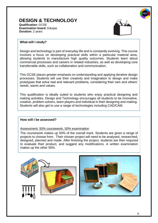# **DESIGN & TECHNOLOGY**

**Qualification:** GCSE **Examination board:** Eduqas **Duration:** 2 years



# **What will I study?**

Design and technology is part of everyday life and is constantly evolving. This course involves a focus on developing practical skills within a particular material area, allowing students to manufacture high quality outcomes. Students learn about commercial processes and careers in related industries, as well as developing core transferrable skills, such as collaboration and communication.

This GCSE places greater emphasis on understanding and applying iterative design processes. Students will use their creativity and imagination to design and make prototypes that solve real and relevant problems, considering their own and others' needs, wants and values.

This qualification is ideally suited to students who enjoy practical designing and making activities. Design and Technology encourages all students to be innovative, creative, problem solvers, team players and individual in their designing and making. Students will also get to use a range of technologies including CAD/CAM.

# **How will I be assessed?**

Assessment: 50% coursework, 50% examination

The coursework makes up 50% of the overall mark. Students are given a range of projects to choose from. Their chosen project will need to be analysed, researched, designed, planned and made. After finishing the project, students are then required to evaluate their product, and suggest any modifications. A written examination makes up the other 50%.



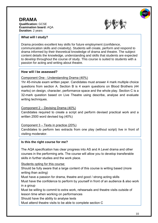### **DRAMA Qualification:** GCSE **Examination board:** AQA **Duration:** 2 years



# **What will I study?**

Drama provides excellent key skills for future employment (confidence, communication skills and creativity). Students will create, perform and respond to drama informed by their theoretical knowledge of drama and theatre. The subject content details the knowledge, understanding and skills that students are expected to develop throughout the course of study. This course is suited to students with a passion for acting and writing about theatre.

# **How will I be assessed?**

# Component One - Understanding Drama (40%)

1hr 45-minute exam written paper. Candidates must answer 4 mark multiple choice questions from section A. Section B is 4 exam questions on Blood Brothers (44 marks) on design, character, performance space and the whole play. Section C is a 32-mark question based on Live Theatre using describe, analyse and evaluate writing techniques.

# Component 2 – Devising Drama (40%)

Candidates required to create a script and perform devised practical work and a written 2500 word devised log (40%)

# Component 3 – Texts in practice (20%)

Candidates to perform two extracts from one play (without script) live in front of visiting moderator.

# **Is this the right course for me?**

The AQA specification has clear progress into AS and A Level drama and other courses in the performing arts. The course will allow you to develop transferable skills in further studies and the work place.

Students opting for this course:

Should be fully aware that a large content of this course is writing based (more writing than acting)

Must have a passion for drama, theatre and good / strong acting skills

Must have the confidence to perform by yourself in front of an audience & also work in a group

Must be willing to commit to extra work, rehearsals and theatre visits outside of lesson time when working on performances

Should have the ability to analyse texts

Must attend theatre visits to be able to complete section C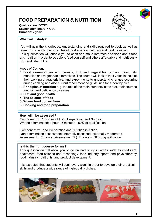# **FOOD PREPARATION & NUTRITION**



**Qualification:** GCSE **Examination board:** WJEC **Duration:** 2 years

# **What will I study?**

You will gain the knowledge, understanding and skills required to cook as well as learn how to apply the principles of food science, nutrition and healthy eating. This qualification will enable you to cook and make informed decisions about food and nutrition in order to be able to feed yourself and others affordably and nutritiously, now and later in life.

# Areas of Content

- 1. **Food commodities** e.g. cereals, fruit and vegetables, sugars, dairy, fats, meat/fish and vegetarian alternatives. The course will look at their value in the diet, their working characteristics, and experiments to understand changes occurring during cooking and also current recommended guidelines for a healthy diet
- 2. **Principles of nutrition** e.g. the role of the main nutrients in the diet, their sources, function and deficiency diseases
- 3. **Diet and good health**
- 4. **The science of food**
- 5. **Where food comes from**
- 6**. Cooking and food preparation**

# **How will I be assessed?**

Component 1: Principles of Food Preparation and Nutrition Written examination: 1 hour 45 minutes - 50% of qualification

Component 2: Food Preparation and Nutrition in Action Non-examination assessment: internally assessed, externally moderated Assessment 1 (8 hours); Assessment 2 (12 hours) - 50% of qualification

# **Is this the right course for me?**

This qualification will allow you to go on and study in areas such as child care, healthcare, food science and technology, food industry, sports and physiotherapy, food industry nutritionist and product development.

It is expected that students will cook every week in order to develop their practical skills and produce a wide range of high-quality dishes.

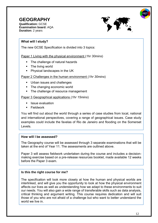# **GEOGRAPHY**

**Qualification:** GCSE **Examination board:** AQA **Duration:** 2 years



# **What will I study?**

The new GCSE Specification is divided into 3 topics:

Paper 1 Living with the physical environment (*1hr 30mins*)

- The challenge of natural hazards
- The living world
- Physical landscapes in the UK

# Paper 2 Challenges in the human environment (*1hr 30mins*)

- Urban issues and challenges
- The changing economic world
- The challenge of resource management

# Paper 3 Geographical applications (*1hr 15mins*)

- Issue evaluation
- Fieldwork

You will find out about the world through a series of case studies from local, national and international perspectives, covering a range of geographical issues. Case study examples could include the favelas of Rio de Janeiro and flooding on the Somerset Levels.

# **How will I be assessed?**

The Geography course will be assessed through 3 separate examinations that will be taken at the end of Year 11. The assessments are outlined above.

Paper 3 will assess fieldwork undertaken during the course and includes a decisionmaking exercise based on a pre-release resources booklet, made available 12 weeks before the Paper 3 exam.

# **Is this the right course for me?**

.

The specification will look more closely at how the human and physical worlds are interlinked, and will give you the opportunity to look at how the physical environment affects our lives as well as understanding how we adapt to these environments to suit our needs. You will also gain a wide range of transferable skills such as data analysis, critical thinking and argument writing. This course requires dedication and will suit those of you who are not afraid of a challenge but who want to better understand the world we live in.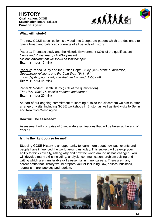



# **What will I study?**

The new GCSE specification is divided into 3 separate papers which are designed to give a broad and balanced coverage of all periods of history.

Paper 1: Thematic study and the Historic Environment (30% of the qualification) *Crime and Punishment, c1000 – present Historic environment will focus on Whitechapel*  **Exam**: (1 hour 15 min)

Paper 2: Period Study and the British Depth Study (40% of the qualification) *Superpower relations and the Cold War, 1941 - 91 Tudor depth option: Early Elizabethan England, 1558 - 88* **Exam**: (1 hour 45 min)

Paper 3: Modern Depth Study (30% of the qualification) *The USA, 1954-75: conflict at home and abroad* **Exam**: (1 hour 20 min)

As part of our ongoing commitment to learning outside the classroom we aim to offer a range of visits, including GCSE workshops in Bristol, as well as field visits to Berlin and New York/Washington.

# **How will I be assessed?**

Assessment will comprise of 3 separate examinations that will be taken at the end of Year 11

# **Is this the right course for me?**

Studying GCSE History is an opportunity to learn more about how past events and people have influenced the world around us today. This subject will develop your ability to think critically, asking why and how the world around us has changed. You will develop many skills including, analysis, communication, problem solving and writing which are transferable skills essential in many careers. There are many career paths that History would prepare you for including; law, politics, business, journalism, archaeology and tourism.





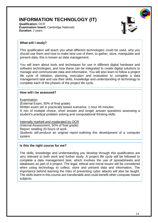# **INFORMATION TECHNOLOGY (IT)**

**Qualification:** OCR **Examination board:** Cambridge Nationals **Duration:** 2 years



### **What will I study?**

This qualification will teach you what different technologies could be used, why you should use them and how to make best use of them, to gather, store, manipulate and present data; this is known as data management.

You will learn about tools and techniques for use in different digital hardware and software technologies, and how these can be integrated to create digital solutions to manage and communicate data and information. You will also learn to follow a project life cycle of initiation, planning, execution and evaluation to complete a data management task and use their skills, knowledge and understanding of technology to complete each of the phases of the project life cycle.

### **How will I be assessed?**

Examination

(External Exam, 50% of final grade)

Written exam set in practically based scenarios: 1 hour 45 minutes A mix of multiple choice, short answer and longer answer questions assessing a student's practical problem solving and computational thinking skills.

Internally marked and moderated by OCR

(Internal Assessment, 50% of final grade)

Report: totalling 20 hours of work

Students will produce an original report outlining this development of a computer system

# **Is this the right course for me?**

The skills, knowledge and understanding you develop through this qualification are very relevant to both work and further study. A project life cycle will be followed to complete a data management task, which involves the use of spreadsheets and databases as part of a project. The legal, ethical and moral issues will be considered when using technology to collect, store and present data and information. The importance behind learning the risks of preventing cyber attacks will also be taught. The skills learnt in this course are transferable and could benefit other computer based subjects.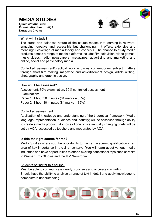# **MEDIA STUDIES**

**Qualification:** GCSE **Examination board:** AQA **Duration:** 2 years



#### **What will I study?**

The broad and balanced nature of the course means that learning is relevant, engaging, creative and accessible but challenging. It offers: extensive and meaningful coverage of media theory and concepts. The chance to study media products across a range of media platforms include: film, television, video games, music videos, radio, newspapers, magazines, advertising and marketing and online, social and participatory media.

Controlled assessment/practical work explores contemporary subject matters through short film making, magazine and advertisement design, article writing, photography and graphic design.

## **How will I be assessed?**

Assessment: 70% examination, 30% controlled assessment

Examination:

Paper 1: 1 hour 30 minutes (84 marks = 35%)

Paper 2: 1 hour 30 minutes (84 marks = 35%)

### Controlled assessment:

Application of knowledge and understanding of the theoretical framework (Media language, representation, audience and industry) will be assessed through ability to create a media product. A choice of one of five annually changing briefs will be set by AQA; assessed by teachers and moderated by AQA.

#### **Is this the right course for me?**

Media Studies offers you the opportunity to gain an academic qualification in an area of key importance in the 21st century. You will learn about various media industries and have opportunities to attend exciting educational trips such as visits to Warner Bros Studios and the ITV Newsroom.

#### Students opting for this course:

Must be able to communicate clearly, concisely and accurately in writing Should have the ability to analyse a range of text in detail and apply knowledge to demonstrate understanding.

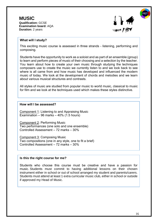**MUSIC Qualification:** GCSE **Examination board:** AQA **Duration:** 2 years



#### **What will I study?**

This exciting music course is assessed in three strands - listening, performing and composing.

Students have the opportunity to work as a soloist and as part of an ensemble (group) to learn and perform pieces of music of their choosing and a selection by the teacher. You learn about how to create your own music through studying the techniques composers use to create the music we currently listen to and we look back to see where is all came from and how music has developed and influenced the modern music of today. We look at the development of chords and melodies and we learn about various musical structures and contrasts.

All styles of music are studied from popular music to world music, classical to music for film and we look at the techniques used which makes these styles distinctive.

#### **How will I be assessed?**

Component 1: Listening to and Appraising Music Examination – 96 marks – 40% (1.5 hours)

Component 2: Performing Music Two performances (one solo and one ensemble) Controlled Assessment – 72 marks – 30%

Component 3: Composing Music Two compositions (one in any style, one to fit a brief) Controlled Assessment – 72 marks – 30%

#### **Is this the right course for me?**

Students who choose this course must be creative and have a passion for music. Students must commit to having additional lessons on their chosen instrument either in school or out of school arranged my student and parents/carers. Students must attend at least 1 extra curricular music club, either in school or outside if approved my Head of Music.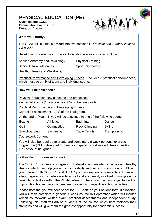# **PHYSICAL EDUCATION (PE)**

**Qualification:** GCSE **Examination board:** OCR **Duration:** 2 years



# **What will I study?**

The GCSE PE course is divided into two sections (1 *practical and 2 theory lessons per week).*

Developing Knowledge in Physical Education – areas covered include:

Applied Anatomy and Physiology Physical Training

Socio Cultural Influences Sport Psychology

Health, Fitness and Well-being

Practical Performance and Developing Fitness – includes 3 practical performances, which must be a mix of team and individual sports.

# **How will I be assessed?**

Physical Education, key concepts and processes:

2 external exams (1 hour each) - 60% of the final grade.

Practical Performance and Developing Fitness

Controlled assessment - 30% of the final grade.

At the end of Year 11, you will be assessed in one of the following sports:

| Boxing       | <b>Athletics</b> | <b>Badminton</b>     | Dance        |
|--------------|------------------|----------------------|--------------|
| Golf         | Gymnastics       | <b>Rock Climbing</b> | Skiing       |
| Snowboarding | Swimming         | <b>Table Tennis</b>  | Trampolining |

Coursework Content

You will also be required to create and complete a 6 week personal exercise programme (PEP), designed to meet your specific sport related fitness needs - 10% of your final grade.

# **Is this the right course for me?**

The GCSE PE course encourages you to develop and maintain an active and healthy lifestyle, which can help you with your creativity and decision making skills in PE and your future. Both GCSE PE and BTEC Sport courses are only suitable to those who attend regular sports clubs outside school and are heavily involved in multiple extra curricular activities within the PE department. There is a minimum expectation that pupils who choose these courses are involved in competitive school activities.

Please note that you will need to opt for 'PE/Sport' on your options form. If allocated, you will then complete a generic 4-week course in September which will include written coursework, written exam, practical assessments and independent study. Following this, staff will advise students of the course which best matches their strengths and will give them the greatest opportunity for academic success.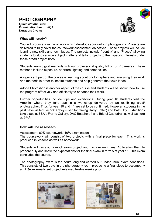# **PHOTOGRAPHY**

**Qualification:** GCSE **Examination board:** AQA **Duration:** 2 years



### **What will I study?**

You will produce a range of work which develops your skills in photography. Projects are delivered to fully cover the coursework assessment objectives. These projects will include learning new skills and techniques. The projects include "Identity" and "Places" allowing students to study a wide subject matter and tailor projects to their specific interests under these broad project titles.

Students learn digital methods with our professional quality Nikon SLR cameras. These methods include exposure, aperture, lighting and composition.

A significant part of the course is learning about photographers and analysing their work and methods in order to inspire students and help generate their own ideas.

Adobe Photoshop is another aspect of the course and students will be shown how to use the program effectively and efficiently to enhance their work.

Further opportunities include trips and exhibitions. During year 10 students visit the Arnolfini where they take part in a workshop delivered by an exhibiting artist/ photographer. Trips for year 10 and 11 are yet to be confirmed. However, students in the past have visited Lacock Abbey (used for filming Harry Potter) and Bath City. Exhibitions take place at BBA's Frame Gallery, DAC Beachcroft and Bristol Cathedral, as well as here at BMA.

# **How will I be assessed?**

Assessment: 60% coursework, 40% examination

The coursework will consist of two projects with a final piece for each. This work is produced in lessons as well as homework.

Students will carry out a mock exam project and mock exam in year 10 to allow them to prepare fully and know the expectations for the final exam in term 5 of year 11. This exam concludes the course.

The photography exam is ten hours long and carried out under usual exam conditions. This consists of two days in the photography room producing a final piece to accompany an AQA externally set project released twelve weeks prior.



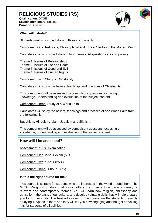# **RELIGIOUS STUDIES (RS)**

**Qualification:** GCSE **Examination board:** Eduqas **Duration:** 2 years



# **What will I study?**

Students must study the following three components:

Component One: Religious, Philosophical and Ethical Studies in the Modern World.

Candidates will study the following four themes. All questions are compulsory.

Theme 1: Issues of Relationships Theme 2: Issues of Life and Death Theme 3: Issues of Good and Evil Theme 4: Issues of Human Rights

Component Two: Study of Christianity

Candidates will study the beliefs, teachings and practices of Christianity.

This component will be assessed by compulsory questions focussing on knowledge, understanding and evaluation of the subject content.

Component Three: Study of a World Faith

Candidates will study the beliefs, teachings and practices of one World Faith from the following list:

Buddhism, Hinduism, Islam, Judaism and Sikhism.

This component will be assessed by compulsory questions focussing on knowledge, understanding and evaluation of the subject content.

# **How will I be assessed?**

Assessment: 100% examination

Component One: 2-hour exam (50%)

Component Two: 1-hour (25%)

Component Three: 1-hour (25%)

# **Is this the right course for me?**

This course is suitable for students who are interested in the world around them. The GCSE Religious Studies qualification offers the chance to explore a variety of relevant and contemporary themes. You will learn how religion, philosophy and ethics form the basis of our culture, and develop valuable skills that will help prepare you for further study. The best advocates for the course are the students presently studying it. Speak to them and they will tell you how engaging and thought provoking it is for students of all abilities.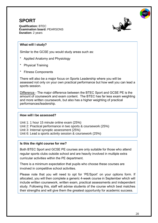# **SPORT**

**Qualification:** BTEC **Examination board:** PEARSONS **Duration:** 2 years



# **What will I study?**

Similar to the GCSE you would study areas such as:

- Applied Anatomy and Physiology
- **Physical Training**
- \* Fitness Components

There will also be a major focus on Sports Leadership where you will be assessed not only on your own practical performance but how well you can lead a sports session.

Difference - The major difference between the BTEC Sport and GCSE PE is the amount of coursework and exam content. The BTEC has far less exam weighting and more written coursework, but also has a higher weighting of practical performances/leadership.

# **How will I be assessed?**

Unit 1: 1 hour 15 minute online exam (25%) Unit 2: Practical performance in two sports & coursework (25%) Unit 3: Internal synoptic assessment (25%) Unit 6: Lead a sports activity session & coursework (25%)

# **Is this the right course for me?**

Both BTEC Sport and GCSE PE courses are only suitable for those who attend regular sports clubs outside school and are heavily involved in multiple extra curricular activities within the PE department.

There is a minimum expectation that pupils who choose these courses are involved in competitive school activities.

Please note that you will need to opt for 'PE/Sport' on your options form. If allocated, you will then complete a generic 4-week course in September which will include written coursework, written exam, practical assessments and independent study. Following this, staff will advise students of the course which best matches their strengths and will give them the greatest opportunity for academic success.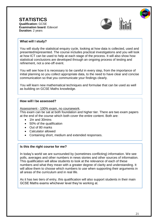**STATISTICS Qualification:** GCSE **Examination board:** Edexcel **Duration:** 2 years





You will study the statistical enquiry cycle, looking at how data is collected, used and presented/represented. The course includes practical investigations and you will look at how ICT can be used to help at each stage of the process. It will also show how statistical conclusions are developed through an ongoing process of testing and refinement, not a one-off event.

You will see how it is necessary to be careful in every step, from the importance of initial planning so you collect appropriate data, to the need to have clear and concise communication so that you communicate your findings clearly.

You will learn new mathematical techniques and formulae that can be used as well as building on GCSE Maths knowledge.

# **How will I be assessed?**

Assessment - 100% exam, no coursework. This exam can be sat at both foundation and higher tier. There are two exam papers at the end of the course which both cover the entire content. Both are:

- 1hr and 30mins
- 50% of the qualification
- Out of 80 marks
- Calculator allowed
- Containing short, medium and extended responses.

# **Is this the right course for me?**

In today's world we are surrounded by (sometimes conflicting) information. We see polls, averages and other numbers in news stories and other sources of information. This qualification will allow students to look at the relevance of each of these numbers and what they mean with a greater degree of clarity and understanding. It will allow them to choose which numbers to use when supporting their arguments in all areas of the curriculum and in real life.

As it has two tiers of entry, this qualification will also support students in their main GCSE Maths exams whichever level they're working at.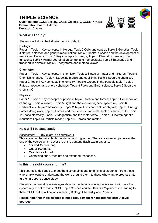# **TRIPLE SCIENCE**

**Qualification:** GCSE Biology, GCSE Chemistry, GCSE Physics **Examination board:** Edexcel **Duration:** 2 years



# **What will I study?**

Students will study the following topics to depth:

### **Biology:**

Paper 1: Topic 1 Key concepts in biology; Topic 2 Cells and control; Topic 3 Genetics; Topic 4 Natural selection and genetic modification; Topic 5 Health, disease and the development of medicines. Paper 2: Topic 1 Key concepts in biology; Topic 6 Plant structures and their functions; Topic 7 Animal coordination control and homeostasis; Topic 8 Exchange and transport in animals; Topic 9 Ecosystems and material cycles.

# **Chemistry:**

Paper 1: Topic 1 Key concepts in chemistry; Topic 2 States of matter and mixtures; Topic 3 Chemical changes; Topic 4 Extracting metals and equilibria; Topic 5 Separate chemistry1 Paper 2 Topic 1 Key concepts in chemistry; Topic 6 Groups in the periodic table; Topic 7 Rates of reaction and energy changes; Topic 8 Fuels and Earth science; Topic 9 Separate chemistry2

# **Physics:**

Paper 1: Topic 1 Key concepts of physics; Topic 2 Motion and forces; Topic 3 Conservation of energy; Topic 4 Waves; Topic 5 Light and the electromagnetic spectrum; Topic 6 Radioactivity; Topic 7 Astronomy. Paper 2 Topic 1 Key concepts of physics; Topic 8 Energy Forces doing work; Topic 9 Forces and their effects; Topic 10 Electricity and circuits; Topic 11 Static electricity; Topic 12 Magnetism and the motor effect; Topic 13 Electromagnetic induction; Topic 14 Particle model; Topic 15 Forces and matter.

# **How will I be assessed?**

# Assessment - 100% exam, no coursework.

This exam can be sat at both foundation and higher tier. There are six exam papers at the end of the course which cover the entire content. Each exam paper is:

- 1hr and 45mins long.
- Out of 100 marks
- Calculator allowed
- Containing short, medium and extended responses.

# **Is this the right course for me?**

This course is designed to meet the diverse aims and ambitions of students – from those who simply want to understand the world around them, to those who want to progress into further in-depth science study.

Students that are at or above age-related expectations in science in Year 9 will have the opportunity to opt to study GCSE Triple Science course. This is a 2-year course leading to three GCSE 9-1 qualifications including Biology, Chemistry and Physics.

# **Please note that triple science is not a requirement for acceptance onto A level courses.**